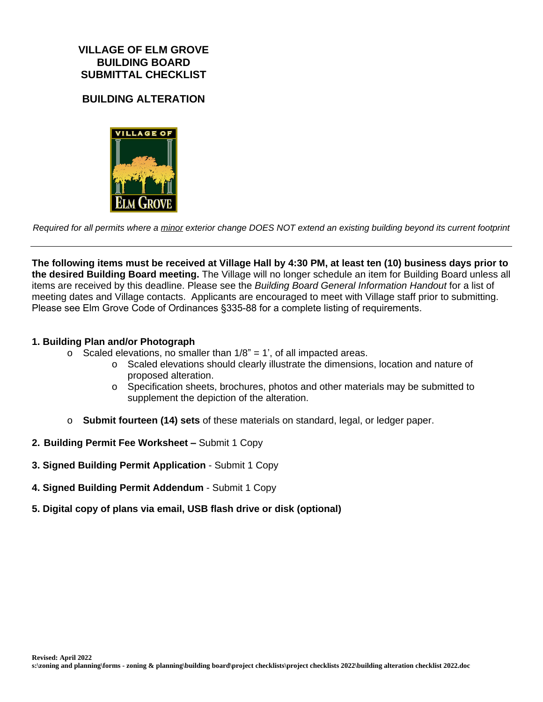## **VILLAGE OF ELM GROVE BUILDING BOARD SUBMITTAL CHECKLIST**

## **BUILDING ALTERATION**



*Required for all permits where a minor exterior change DOES NOT extend an existing building beyond its current footprint*

**The following items must be received at Village Hall by 4:30 PM, at least ten (10) business days prior to the desired Building Board meeting.** The Village will no longer schedule an item for Building Board unless all items are received by this deadline. Please see the *Building Board General Information Handout* for a list of meeting dates and Village contacts. Applicants are encouraged to meet with Village staff prior to submitting. Please see Elm Grove Code of Ordinances §335-88 for a complete listing of requirements.

## **1. Building Plan and/or Photograph**

- $\circ$  Scaled elevations, no smaller than  $1/8$ " = 1', of all impacted areas.
	- o Scaled elevations should clearly illustrate the dimensions, location and nature of proposed alteration.
	- $\circ$  Specification sheets, brochures, photos and other materials may be submitted to supplement the depiction of the alteration.
- o **Submit fourteen (14) sets** of these materials on standard, legal, or ledger paper.
- **2. Building Permit Fee Worksheet –** Submit 1 Copy
- **3. Signed Building Permit Application** Submit 1 Copy
- **4. Signed Building Permit Addendum** Submit 1 Copy
- **5. Digital copy of plans via email, USB flash drive or disk (optional)**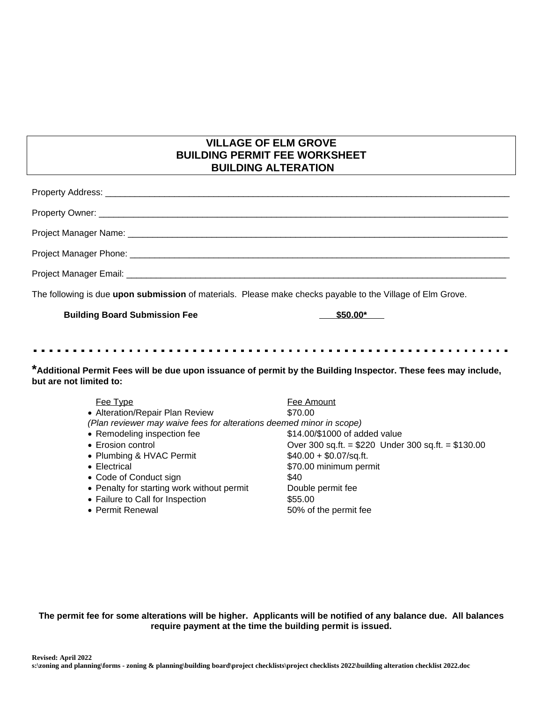## **VILLAGE OF ELM GROVE BUILDING PERMIT FEE WORKSHEET BUILDING ALTERATION**

| The following is due upon submission of materials. Please make checks payable to the Village of Elm Grove.                                |          |
|-------------------------------------------------------------------------------------------------------------------------------------------|----------|
| <b>Building Board Submission Fee</b>                                                                                                      | \$50.00* |
| *Additional Permit Fees will be due upon issuance of permit by the Building Inspector. These fees may include,<br>but are not limited to: |          |
|                                                                                                                                           |          |

**The permit fee for some alterations will be higher. Applicants will be notified of any balance due. All balances require payment at the time the building permit is issued.**